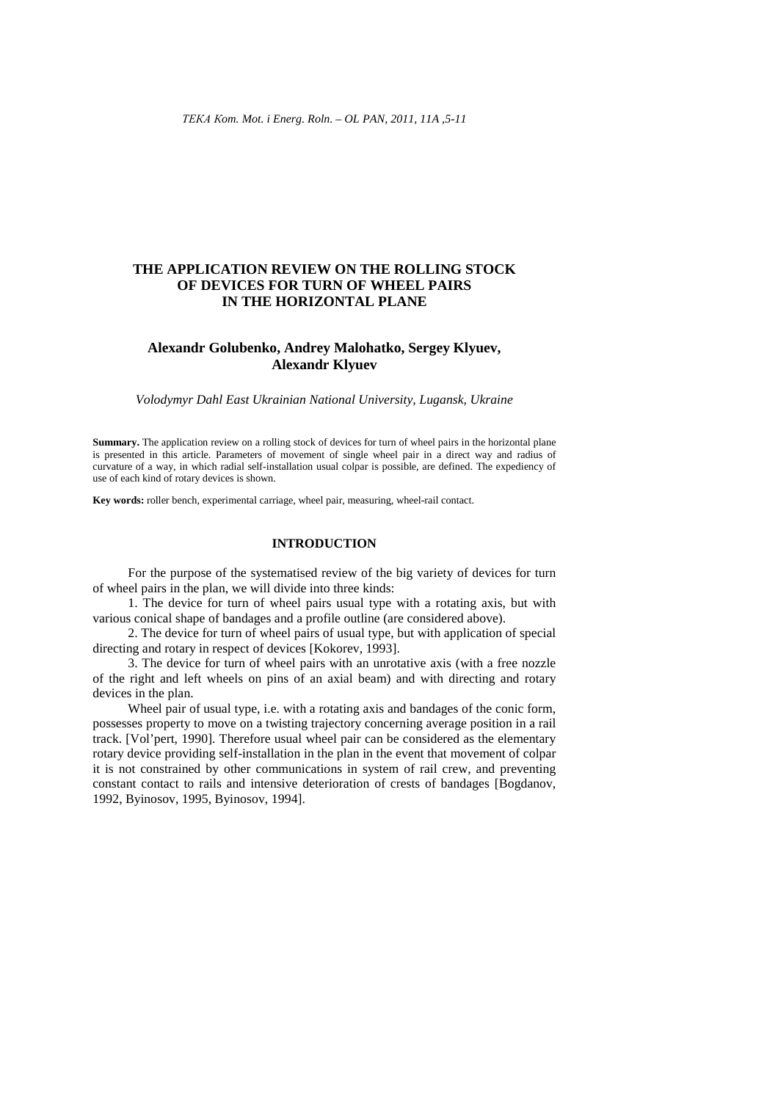# **THE APPLICATION REVIEW ON THE ROLLING STOCK OF DEVICES FOR TURN OF WHEEL PAIRS IN THE HORIZONTAL PLANE**

## **Alexandr Golubenko, Andrey Malohatko, Sergey Klyuev, Alexandr Klyuev**

*Volodymyr Dahl East Ukrainian National University, Lugansk, Ukraine* 

**Summary.** The application review on a rolling stock of devices for turn of wheel pairs in the horizontal plane is presented in this article. Parameters of movement of single wheel pair in a direct way and radius of curvature of a way, in which radial self-installation usual colpar is possible, are defined. The expediency of use of each kind of rotary devices is shown.

**Key words:** roller bench, experimental carriage, wheel pair, measuring, wheel-rail contact.

### **INTRODUCTION**

For the purpose of the systematised review of the big variety of devices for turn of wheel pairs in the plan, we will divide into three kinds:

1. The device for turn of wheel pairs usual type with a rotating axis, but with various conical shape of bandages and a profile outline (are considered above).

2. The device for turn of wheel pairs of usual type, but with application of special directing and rotary in respect of devices [Kokorev, 1993].

3. The device for turn of wheel pairs with an unrotative axis (with a free nozzle of the right and left wheels on pins of an axial beam) and with directing and rotary devices in the plan.

Wheel pair of usual type, i.e. with a rotating axis and bandages of the conic form, possesses property to move on a twisting trajectory concerning average position in a rail track. [Vol'pert, 1990]. Therefore usual wheel pair can be considered as the elementary rotary device providing self-installation in the plan in the event that movement of colpar it is not constrained by other communications in system of rail crew, and preventing constant contact to rails and intensive deterioration of crests of bandages [Bogdanov, 1992, Byinosov, 1995, Byinosov, 1994].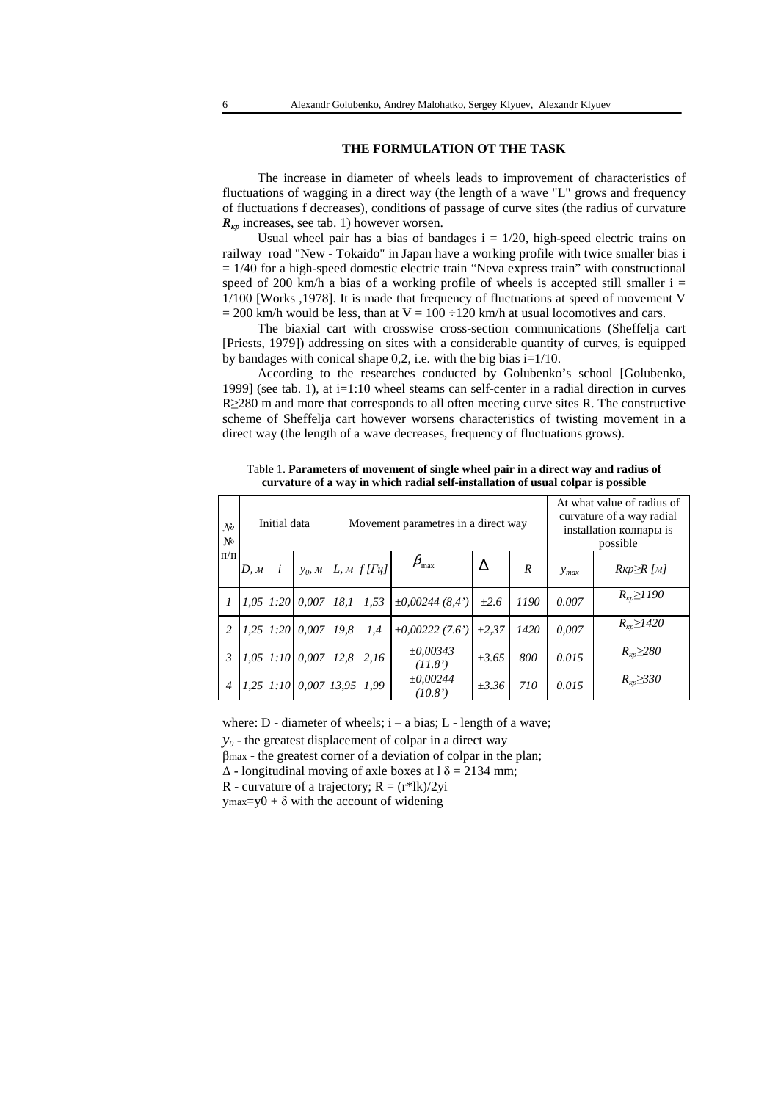## **THE FORMULATION OT THE TASK**

The increase in diameter of wheels leads to improvement of characteristics of fluctuations of wagging in a direct way (the length of a wave "L" grows and frequency of fluctuations f decreases), conditions of passage of curve sites (the radius of curvature *R*<sub>*kp*</sub> increases, see tab. 1) however worsen.

Usual wheel pair has a bias of bandages  $i = 1/20$ , high-speed electric trains on railway road "New - Tokaido" in Japan have a working profile with twice smaller bias i  $= 1/40$  for a high-speed domestic electric train "Neva express train" with constructional speed of 200 km/h a bias of a working profile of wheels is accepted still smaller  $i =$ 1/100 [Works ,1978]. It is made that frequency of fluctuations at speed of movement V  $= 200$  km/h would be less, than at  $V = 100 \div 120$  km/h at usual locomotives and cars.

The biaxial cart with crosswise cross-section communications (Sheffelja cart [Priests, 1979]) addressing on sites with a considerable quantity of curves, is equipped by bandages with conical shape  $0,2$ , i.e. with the big bias  $i=1/10$ .

According to the researches conducted by Golubenko's school [Golubenko, 1999] (see tab. 1), at i=1:10 wheel steams can self-center in a radial direction in curves R≥280 m and more that corresponds to all often meeting curve sites R. The constructive scheme of Sheffelja cart however worsens characteristics of twisting movement in a direct way (the length of a wave decreases, frequency of fluctuations grows).

| $\mathcal{N}$<br>N <sub>2</sub><br>$\Pi/\Pi$ | Initial data |           |                                          | Movement parametres in a direct way |      |                         |            |      | At what value of radius of<br>curvature of a way radial<br>installation колпары is<br>possible |                                |
|----------------------------------------------|--------------|-----------|------------------------------------------|-------------------------------------|------|-------------------------|------------|------|------------------------------------------------------------------------------------------------|--------------------------------|
|                                              | D, M         | $\dot{i}$ | $y_0, M \mid L, M \mid f[Tu]$            |                                     |      | $\beta_{\text{max}}$    | Δ          | R    | $y_{max}$                                                                                      | $R\kappa p \ge R$ [ <i>M</i> ] |
| 1                                            |              |           | $1.05$   $1:20$   $0.007$   $18.1$       |                                     | 1.53 | $\pm 0.00244(8.4)$      | $\pm 2.6$  | 1190 | 0.007                                                                                          | $R_{\kappa p} \geq 1190$       |
| $\overline{c}$                               |              |           | $1.25$   $1:20$   $0.007$   $19.8$       |                                     | 1.4  | $\pm 0.00222(7.6)$      | $\pm 2.37$ | 1420 | 0.007                                                                                          | $R_{\kappa p} \geq 1420$       |
| $\mathfrak{Z}$                               |              |           | $1,05$   $1:10$   0,007   12,8           |                                     | 2,16 | $\pm 0.00343$<br>(11.8) | $\pm 3.65$ | 800  | 0.015                                                                                          | $R_{\kappa p} \geq 280$        |
| $\overline{4}$                               |              |           | $1,25$   $1:10$   0,007   $13,95$   1,99 |                                     |      | $\pm 0.00244$<br>(10.8) | $\pm 3.36$ | 710  | 0.015                                                                                          | $R_{\kappa p} \geq 330$        |

Table 1. **Parameters of movement of single wheel pair in a direct way and radius of curvature of a way in which radial self-installation of usual colpar is possible** 

where:  $D$  - diameter of wheels;  $i - a \, bias$ ;  $L$  - length of a wave;

 $y_0$  - the greatest displacement of colpar in a direct way

βmax - the greatest corner of a deviation of colpar in the plan;

 $\Delta$  - longitudinal moving of axle boxes at  $\delta$  = 2134 mm;

R - curvature of a trajectory;  $R = (r^*lk)/2yi$ 

 $y$ max=y0 +  $\delta$  with the account of widening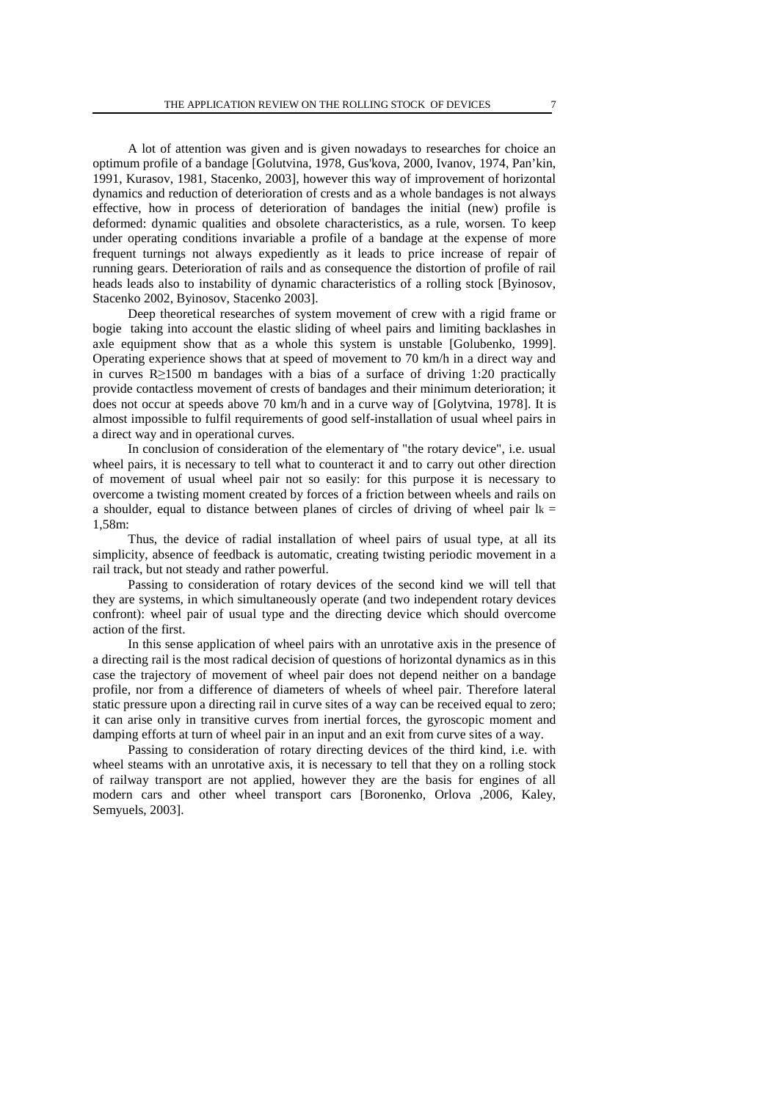A lot of attention was given and is given nowadays to researches for choice an optimum profile of a bandage [Golutvina, 1978, Gus'kova, 2000, Ivanov, 1974, Pan'kin, 1991, Kurasov, 1981, Stacenko, 2003], however this way of improvement of horizontal dynamics and reduction of deterioration of crests and as a whole bandages is not always effective, how in process of deterioration of bandages the initial (new) profile is deformed: dynamic qualities and obsolete characteristics, as a rule, worsen. To keep under operating conditions invariable a profile of a bandage at the expense of more frequent turnings not always expediently as it leads to price increase of repair of running gears. Deterioration of rails and as consequence the distortion of profile of rail heads leads also to instability of dynamic characteristics of a rolling stock [Byinosov, Stacenko 2002, Byinosov, Stacenko 2003].

Deep theoretical researches of system movement of crew with a rigid frame or bogie taking into account the elastic sliding of wheel pairs and limiting backlashes in axle equipment show that as a whole this system is unstable [Golubenko, 1999]. Operating experience shows that at speed of movement to 70 km/h in a direct way and in curves R≥1500 m bandages with a bias of a surface of driving 1:20 practically provide contactless movement of crests of bandages and their minimum deterioration; it does not occur at speeds above 70 km/h and in a curve way of [Golytvina, 1978]. It is almost impossible to fulfil requirements of good self-installation of usual wheel pairs in a direct way and in operational curves.

In conclusion of consideration of the elementary of "the rotary device", i.e. usual wheel pairs, it is necessary to tell what to counteract it and to carry out other direction of movement of usual wheel pair not so easily: for this purpose it is necessary to overcome a twisting moment created by forces of a friction between wheels and rails on a shoulder, equal to distance between planes of circles of driving of wheel pair  $\text{lk} =$ 1,58m:

Thus, the device of radial installation of wheel pairs of usual type, at all its simplicity, absence of feedback is automatic, creating twisting periodic movement in a rail track, but not steady and rather powerful.

Passing to consideration of rotary devices of the second kind we will tell that they are systems, in which simultaneously operate (and two independent rotary devices confront): wheel pair of usual type and the directing device which should overcome action of the first.

In this sense application of wheel pairs with an unrotative axis in the presence of a directing rail is the most radical decision of questions of horizontal dynamics as in this case the trajectory of movement of wheel pair does not depend neither on a bandage profile, nor from a difference of diameters of wheels of wheel pair. Therefore lateral static pressure upon a directing rail in curve sites of a way can be received equal to zero; it can arise only in transitive curves from inertial forces, the gyroscopic moment and damping efforts at turn of wheel pair in an input and an exit from curve sites of a way.

Passing to consideration of rotary directing devices of the third kind, i.e. with wheel steams with an unrotative axis, it is necessary to tell that they on a rolling stock of railway transport are not applied, however they are the basis for engines of all modern cars and other wheel transport cars [Boronenko, Orlova ,2006, Kaley, Semyuels, 2003].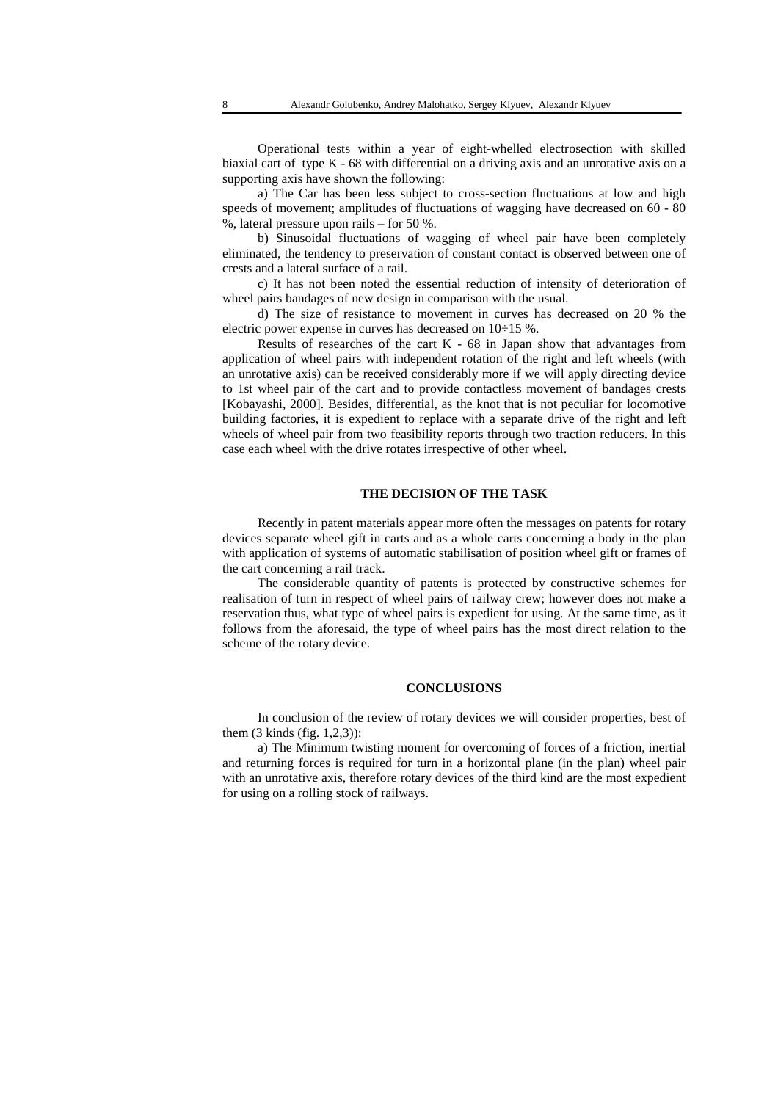Operational tests within a year of eight-whelled electrosection with skilled biaxial cart of type K - 68 with differential on a driving axis and an unrotative axis on a supporting axis have shown the following:

a) The Car has been less subject to cross-section fluctuations at low and high speeds of movement; amplitudes of fluctuations of wagging have decreased on 60 - 80 %, lateral pressure upon rails – for 50 %.

b) Sinusoidal fluctuations of wagging of wheel pair have been completely eliminated, the tendency to preservation of constant contact is observed between one of crests and a lateral surface of a rail.

c) It has not been noted the essential reduction of intensity of deterioration of wheel pairs bandages of new design in comparison with the usual.

d) The size of resistance to movement in curves has decreased on 20 % the electric power expense in curves has decreased on 10÷15 %.

Results of researches of the cart  $K - 68$  in Japan show that advantages from application of wheel pairs with independent rotation of the right and left wheels (with an unrotative axis) can be received considerably more if we will apply directing device to 1st wheel pair of the cart and to provide contactless movement of bandages crests [Kobayashi, 2000]. Besides, differential, as the knot that is not peculiar for locomotive building factories, it is expedient to replace with a separate drive of the right and left wheels of wheel pair from two feasibility reports through two traction reducers. In this case each wheel with the drive rotates irrespective of other wheel.

## **THE DECISION OF THE TASK**

Recently in patent materials appear more often the messages on patents for rotary devices separate wheel gift in carts and as a whole carts concerning a body in the plan with application of systems of automatic stabilisation of position wheel gift or frames of the cart concerning a rail track.

The considerable quantity of patents is protected by constructive schemes for realisation of turn in respect of wheel pairs of railway crew; however does not make a reservation thus, what type of wheel pairs is expedient for using. At the same time, as it follows from the aforesaid, the type of wheel pairs has the most direct relation to the scheme of the rotary device.

#### **CONCLUSIONS**

In conclusion of the review of rotary devices we will consider properties, best of them (3 kinds (fig. 1,2,3)):

a) The Minimum twisting moment for overcoming of forces of a friction, inertial and returning forces is required for turn in a horizontal plane (in the plan) wheel pair with an unrotative axis, therefore rotary devices of the third kind are the most expedient for using on a rolling stock of railways.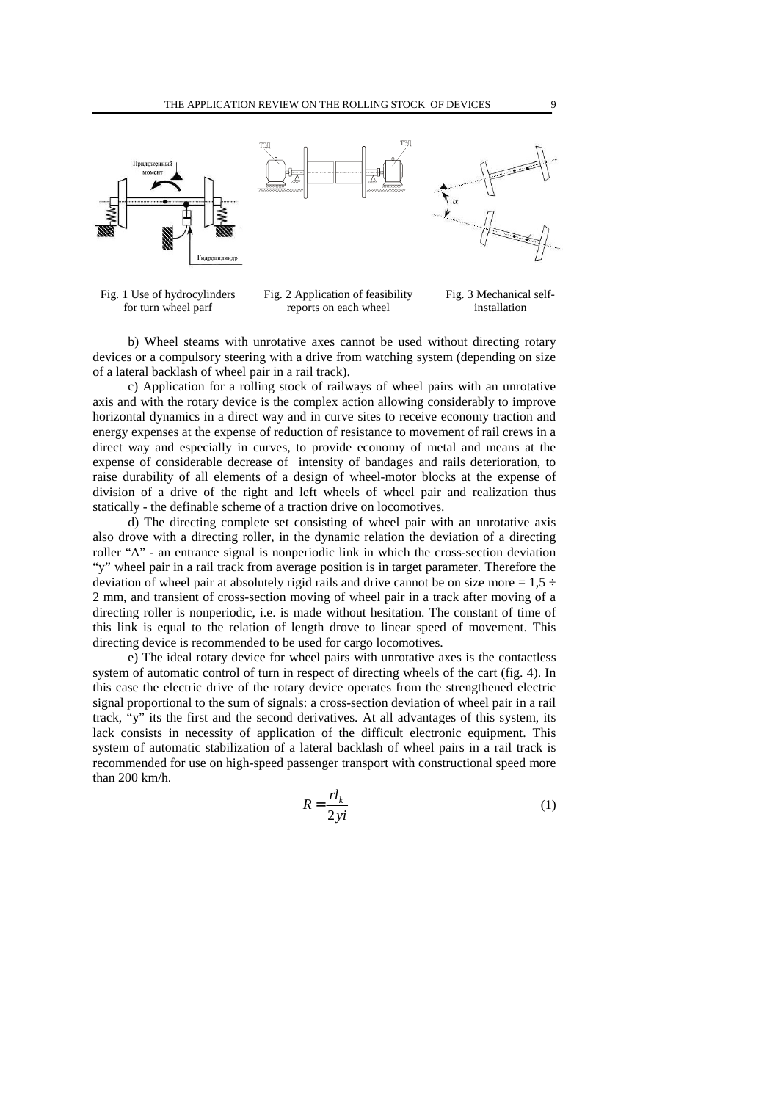



Fig. 2 Application of feasibility reports on each wheel Fig. 3 Mechanical selfinstallation

b) Wheel steams with unrotative axes cannot be used without directing rotary devices or a compulsory steering with a drive from watching system (depending on size of a lateral backlash of wheel pair in a rail track).

c) Application for a rolling stock of railways of wheel pairs with an unrotative axis and with the rotary device is the complex action allowing considerably to improve horizontal dynamics in a direct way and in curve sites to receive economy traction and energy expenses at the expense of reduction of resistance to movement of rail crews in a direct way and especially in curves, to provide economy of metal and means at the expense of considerable decrease of intensity of bandages and rails deterioration, to raise durability of all elements of a design of wheel-motor blocks at the expense of division of a drive of the right and left wheels of wheel pair and realization thus statically - the definable scheme of a traction drive on locomotives.

d) The directing complete set consisting of wheel pair with an unrotative axis also drove with a directing roller, in the dynamic relation the deviation of a directing roller "∆" - an entrance signal is nonperiodic link in which the cross-section deviation "y" wheel pair in a rail track from average position is in target parameter. Therefore the deviation of wheel pair at absolutely rigid rails and drive cannot be on size more =  $1.5 \div$ 2 mm, and transient of cross-section moving of wheel pair in a track after moving of a directing roller is nonperiodic, i.e. is made without hesitation. The constant of time of this link is equal to the relation of length drove to linear speed of movement. This directing device is recommended to be used for cargo locomotives.

e) The ideal rotary device for wheel pairs with unrotative axes is the contactless system of automatic control of turn in respect of directing wheels of the cart (fig. 4). In this case the electric drive of the rotary device operates from the strengthened electric signal proportional to the sum of signals: a cross-section deviation of wheel pair in a rail track, "y" its the first and the second derivatives. At all advantages of this system, its lack consists in necessity of application of the difficult electronic equipment. This system of automatic stabilization of a lateral backlash of wheel pairs in a rail track is recommended for use on high-speed passenger transport with constructional speed more than 200 km/h.

$$
R = \frac{rl_k}{2yi} \tag{1}
$$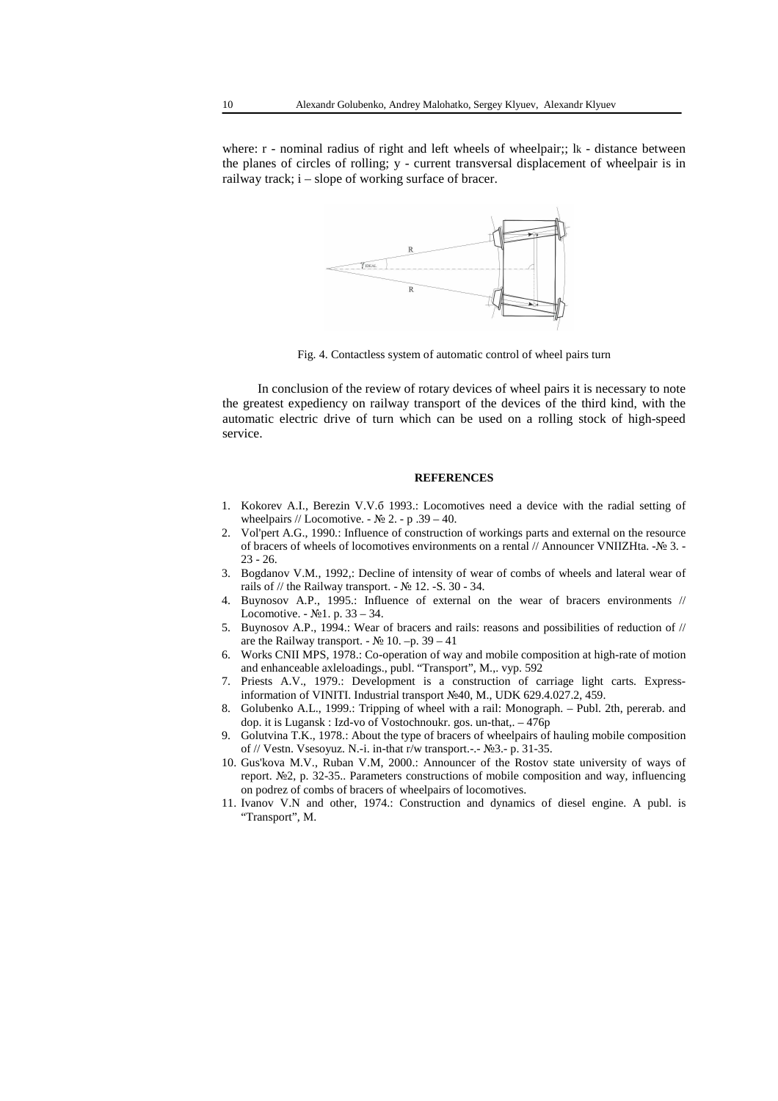where: r - nominal radius of right and left wheels of wheelpair;; lk - distance between the planes of circles of rolling; y - current transversal displacement of wheelpair is in railway track; i – slope of working surface of bracer.



Fig. 4. Contactless system of automatic control of wheel pairs turn

In conclusion of the review of rotary devices of wheel pairs it is necessary to note the greatest expediency on railway transport of the devices of the third kind, with the automatic electric drive of turn which can be used on a rolling stock of high-speed service.

### **REFERENCES**

- 1. Kokorev A.I., Berezin V.V.б 1993.: Locomotives need a device with the radial setting of wheelpairs // Locomotive. -  $\mathbb{N}^{\circ}$  2. - p .39 – 40.
- 2. Vol'pert A.G., 1990.: Influence of construction of workings parts and external on the resource of bracers of wheels of locomotives environments on a rental // Announcer VNIIZHta. -№ 3. - 23 - 26.
- 3. Bogdanov V.M., 1992,: Decline of intensity of wear of combs of wheels and lateral wear of rails of // the Railway transport. -  $\mathbb{N}$  12. -S. 30 - 34.
- 4. Buynosov A.P., 1995.: Influence of external on the wear of bracers environments // Locomotive. -  $N_21$ . p. 33 – 34.
- 5. Buynosov A.P., 1994.: Wear of bracers and rails: reasons and possibilities of reduction of // are the Railway transport. -  $\mathcal{N}$  10. –p. 39 – 41
- 6. Works CNII MPS, 1978.: Co-operation of way and mobile composition at high-rate of motion and enhanceable axleloadings., publ. "Transport", M.,. vyp. 592
- 7. Priests A.V., 1979.: Development is a construction of carriage light carts. Expressinformation of VINITI. Industrial transport №40, M., UDK 629.4.027.2, 459.
- 8. Golubenko A.L., 1999.: Tripping of wheel with a rail: Monograph. Publ. 2th, pererab. and dop. it is Lugansk : Izd-vo of Vostochnoukr. gos. un-that,. – 476p
- 9. Golutvina T.K., 1978.: About the type of bracers of wheelpairs of hauling mobile composition of // Vestn. Vsesoyuz. N.-i. in-that r/w transport.-.-  $N_2$ 3.- p. 31-35.
- 10. Gus'kova M.V., Ruban V.M, 2000.: Announcer of the Rostov state university of ways of report. №2, p. 32-35.. Parameters constructions of mobile composition and way, influencing on podrez of combs of bracers of wheelpairs of locomotives.
- 11. Ivanov V.N and other, 1974.: Construction and dynamics of diesel engine. A publ. is "Transport", M.